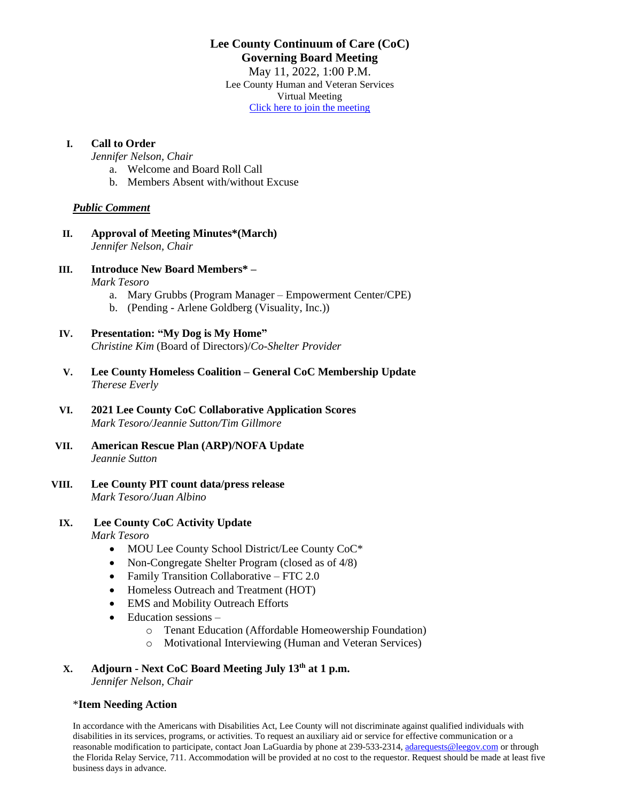# **Lee County Continuum of Care (CoC) Governing Board Meeting**

May 11, 2022, 1:00 P.M. Lee County Human and Veteran Services Virtual Meeting [Click here to join the meeting](https://teams.microsoft.com/l/meetup-join/19%3ameeting_OGZlYjgzZWEtNTQxOC00ZDNlLWFmNjEtNDVkY2MxMjg2YjNi%40thread.v2/0?context=%7b%22Tid%22%3a%22455d8e4d-5bcc-4762-8166-68677f2224f1%22%2c%22Oid%22%3a%22f3d467d8-aecd-47be-92e0-24084b6657e8%22%7d)

#### **I. Call to Order**

*Jennifer Nelson, Chair*

- a. Welcome and Board Roll Call
- b. Members Absent with/without Excuse

#### *Public Comment*

- **II. Approval of Meeting Minutes\*(March)** *Jennifer Nelson, Chair*
- **III. Introduce New Board Members\* –**

*Mark Tesoro*

- a. Mary Grubbs (Program Manager Empowerment Center/CPE)
- b. (Pending Arlene Goldberg (Visuality, Inc.))

## **IV. Presentation: "My Dog is My Home"**

*Christine Kim* (Board of Directors)/*Co-Shelter Provider*

- **V. Lee County Homeless Coalition – General CoC Membership Update** *Therese Everly*
- **VI. 2021 Lee County CoC Collaborative Application Scores** *Mark Tesoro/Jeannie Sutton/Tim Gillmore*
- **VII. American Rescue Plan (ARP)/NOFA Update** *Jeannie Sutton*
- **VIII. Lee County PIT count data/press release** *Mark Tesoro/Juan Albino*

#### **IX. Lee County CoC Activity Update**

*Mark Tesoro*

- MOU Lee County School District/Lee County CoC\*
- Non-Congregate Shelter Program (closed as of 4/8)
- Family Transition Collaborative FTC 2.0
- Homeless Outreach and Treatment (HOT)
- EMS and Mobility Outreach Efforts
- Education sessions
	- o Tenant Education (Affordable Homeowership Foundation)
	- o Motivational Interviewing (Human and Veteran Services)

# **X. Adjourn - Next CoC Board Meeting July 13th at 1 p.m.**

*Jennifer Nelson, Chair*

#### \***Item Needing Action**

In accordance with the Americans with Disabilities Act, Lee County will not discriminate against qualified individuals with disabilities in its services, programs, or activities. To request an auxiliary aid or service for effective communication or a reasonable modification to participate, contact Joan LaGuardia by phone at 239-533-2314, [adarequests@leegov.com](mailto:adarequests@leegov.com) or through the Florida Relay Service, 711. Accommodation will be provided at no cost to the requestor. Request should be made at least five business days in advance.